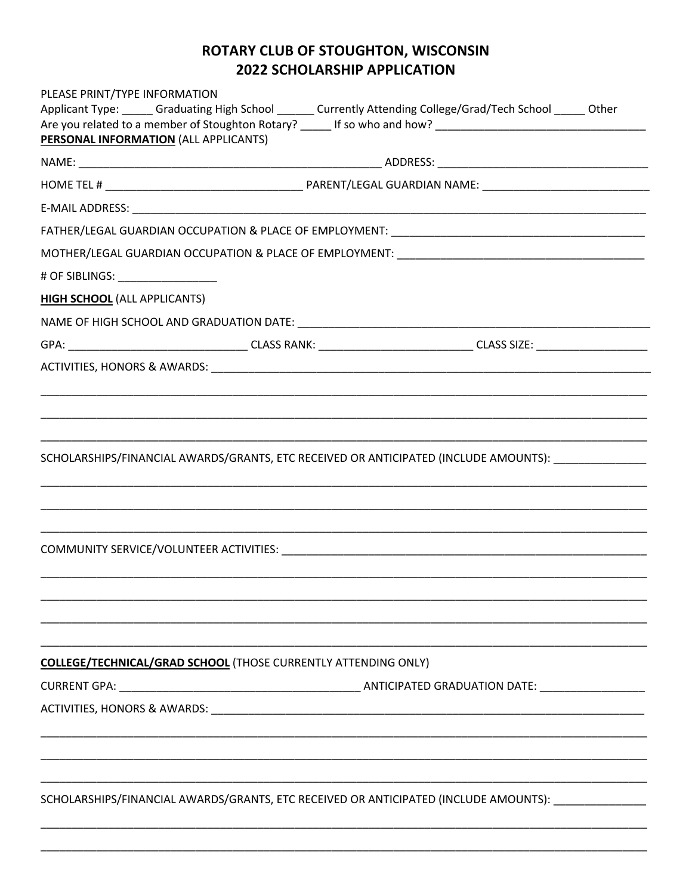## ROTARY CLUB OF STOUGHTON, WISCONSIN **2022 SCHOLARSHIP APPLICATION**

| PLEASE PRINT/TYPE INFORMATION                                         | Applicant Type: Graduating High School ______ Currently Attending College/Grad/Tech School _____ Other |
|-----------------------------------------------------------------------|--------------------------------------------------------------------------------------------------------|
| PERSONAL INFORMATION (ALL APPLICANTS)                                 |                                                                                                        |
|                                                                       |                                                                                                        |
|                                                                       |                                                                                                        |
|                                                                       |                                                                                                        |
|                                                                       |                                                                                                        |
|                                                                       |                                                                                                        |
| # OF SIBLINGS: _________________                                      |                                                                                                        |
| <b>HIGH SCHOOL</b> (ALL APPLICANTS)                                   |                                                                                                        |
|                                                                       |                                                                                                        |
|                                                                       |                                                                                                        |
|                                                                       |                                                                                                        |
|                                                                       |                                                                                                        |
|                                                                       |                                                                                                        |
|                                                                       |                                                                                                        |
|                                                                       | SCHOLARSHIPS/FINANCIAL AWARDS/GRANTS, ETC RECEIVED OR ANTICIPATED (INCLUDE AMOUNTS):                   |
|                                                                       |                                                                                                        |
|                                                                       |                                                                                                        |
|                                                                       |                                                                                                        |
|                                                                       |                                                                                                        |
|                                                                       |                                                                                                        |
|                                                                       |                                                                                                        |
|                                                                       |                                                                                                        |
|                                                                       |                                                                                                        |
| <b>COLLEGE/TECHNICAL/GRAD SCHOOL</b> (THOSE CURRENTLY ATTENDING ONLY) |                                                                                                        |
|                                                                       |                                                                                                        |
|                                                                       |                                                                                                        |
|                                                                       |                                                                                                        |
|                                                                       |                                                                                                        |
|                                                                       |                                                                                                        |
|                                                                       | SCHOLARSHIPS/FINANCIAL AWARDS/GRANTS, ETC RECEIVED OR ANTICIPATED (INCLUDE AMOUNTS): ______________    |
|                                                                       |                                                                                                        |
|                                                                       |                                                                                                        |